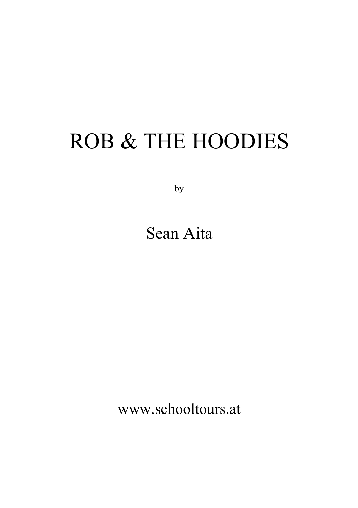# ROB & THE HOODIES

by

# Sean Aita

www.schooltours.at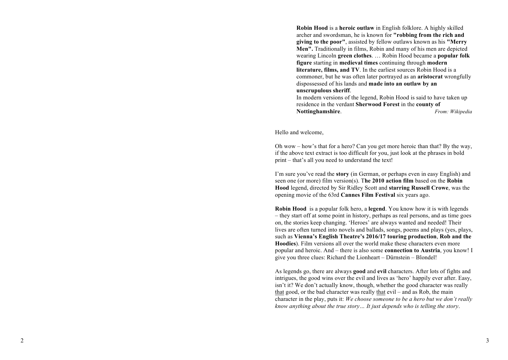**Robin Hood** is a **heroic outlaw** in English folklore. A highly skilled archer and swordsman, he is known for **"robbing from the rich and giving to the poor"**, assisted by fellow outlaws known as his **"Merry Men".** Traditionally in films, Robin and many of his men are depicted wearing Lincoln **green clothes**. … Robin Hood became a **popular folk figure** starting in **medieval times** continuing through **modern literature, films, and TV**. In the earliest sources Robin Hood is a commoner, but he was often later portrayed as an **aristocrat** wrongfully dispossessed of his lands and **made into an outlaw by an unscrupulous sheriff** .

In modern versions of the legend, Robin Hood is said to have taken up residence in the verdant **Sherwood Forest** in the **county of Nottinghamshire**. *From: Wikipedia* 

Hello and welcome,

Oh wow – how's that for a hero? Can you get more heroic than that? By the way, if the above text extract is too difficult for you, just look at the phrases in bold print – that 's all you need to understand the text!

I'm sure you've read the **story** (in German, or perhaps even in easy English) and seen one (or more) film version(s). T**he 2010 action film** based on the **Robin Hood** legend, directed by Sir Ridley Scott and **starring Russell Crowe**, was the opening movie of the 63rd **Cannes Film Festival** six years ago.

**Robin Hood** is a popular folk hero, a **legend**. You know how it is with legends – they start off at some point in history, perhaps as real persons, and as time goes on, the stories keep changing. 'Heroes' are always wanted and needed! Their lives are often turned into novels and ballads, songs, poems and plays (yes, plays, such as **Vienna's English Theatre's 201 6/1 7 touring production** , **Rob and the Hoodies**). Film versions all over the world make these characters even more popular and heroic. And – there is also some **connection to Austria**, you know! I give you three clues: Richard the Lionheart – Dürnstein – Blondel!

As legends go, there are always **good** and **evil** characters. After lots of fights and intrigues, the good wins over the evil and lives as 'hero' happily ever after. Easy, isn't it? We don't actually know, though, whether the good character was really that good, or the bad character was really that evil – and as Rob, the main character in the play, puts it: *We choose someone to be a hero but we don't really know anything about the true story… It just depends who is telling the story*.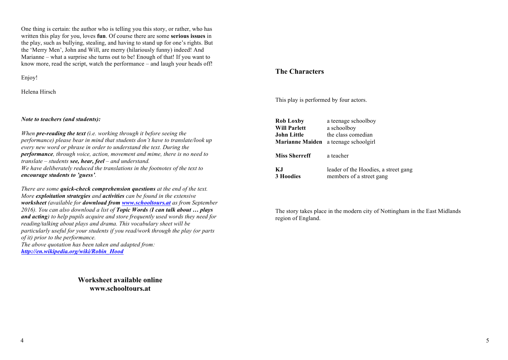One thing is certain: the author who is telling you this story, or rather, who has written this play for you, loves **fun**. Of course there are some **serious issues** in the play, such as bullying, stealing, and having to stand up for one's rights. But the 'Merry Men', John and Will, are merry (hilariously funny) indeed! And Marianne – what a surprise she turns out to be! Enough of that! If you want to know more, read the script, watch the performance – and laugh your heads off!

Enjoy!

Helena Hirsch

### *Note to teachers (and students):*

*When pre-reading the text (i.e. working through it before seeing the performance) please bear in mind that students don't have to translate/look up every new word or phrase in order to understand the text. During the performance, through voice, action, movement and mime, there is no need to translate – students see, hear, feel – and understand. We have deliberately reduced the translations in the footnotes of the text to encourage students to 'guess'.*

*There are some quick-check comprehension questions at the end of the text. More exploitation strategies and activities can be found in the extensive worksheet (available for download from www.schooltours.at as from September 2016). You can also download a list of Topic Words (I can talk about … plays and acting) to help pupils acquire and store frequently used words they need for reading/talking about plays and drama. This vocabulary sheet will be particularly useful for your students if you read/work through the play (or parts of it) prior to the performance. The above quotation has been taken and adapted from: http://en.wikipedia.org/wiki/Robin\_Hood*

> **Worksheet available online www.schooltours.at**

### **The Characters**

This play is performed by four actors.

| <b>Rob Loxby</b>       | a teenage schoolboy                  |
|------------------------|--------------------------------------|
| <b>Will Parlett</b>    | a schoolboy                          |
| John Little            | the class comedian                   |
| <b>Marianne Maiden</b> | a teenage schoolgirl                 |
| <b>Miss Sherreff</b>   | a teacher                            |
| K.I                    | leader of the Hoodies, a street gang |
| <b>3 Hoodies</b>       | members of a street gang             |

The story takes place in the modern city of Nottingham in the East Midlands region of England.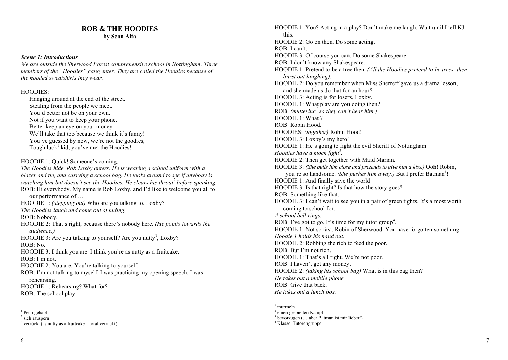## **ROB & THE HOODIES**

**by Sean Aita**

### *Scene 1: Introductions*

*We are outside the Sherwood Forest comprehensive school in Nottingham. Three members of the "Hoodies" gang enter. They are called the Hoodies because of the hooded sweatshirts they wear.* 

### HOODIES:

Hanging around at the end of the street. Stealing from the people we meet. You'd better not be on your own. Not if you want to keep your phone. Better keep an eye on your money. We'll take that too because we think it's funny! You've guessed by now, we're not the goodies, Tough luck<sup>1</sup> kid, you've met the Hoodies!

HOODIE 1: Quick! Someone's coming.

*The Hoodies hide. Rob Loxby enters. He is wearing a school uniform with a blazer and tie, and carrying a school bag. He looks around to see if anybody is watching him but doesn't see the Hoodies. He clears his throat<sup>2</sup> before speaking.*  ROB: Hi everybody. My name is Rob Loxby, and I'd like to welcome you all to our performance of … HOODIE 1: *(stepping out)* Who are you talking to, Loxby? *The Hoodies laugh and come out of hiding.*  ROB: Nobody. HOODIE 2: That's right, because there's nobody here. *(He points towards the audience.)*  HOODIE 3: Are you talking to yourself? Are you nutty<sup>3</sup>, Loxby? ROB: No. HOODIE 3: I think you are. I think you're as nutty as a fruitcake. ROB: I'm not. HOODIE 2: You are. You're talking to yourself. ROB: I'm not talking to myself. I was practicing my opening speech. I was rehearsing. HOODIE 1: Rehearsing? What for? ROB: The school play.

HOODIE 1: You? Acting in a play? Don't make me laugh. Wait until I tell KJ this. HOODIE 2: Go on then. Do some acting. ROB: I can't. HOODIE 3: Of course you can. Do some Shakespeare. ROB: I don't know any Shakespeare. HOODIE 1: Pretend to be a tree then. *(All the Hoodies pretend to be trees, then burst out laughing).*  HOODIE 2: Do you remember when Miss Sherreff gave us a drama lesson, and she made us do that for an hour? HOODIE 3: Acting is for losers, Loxby. HOODIE 1: What play are you doing then? ROB: *(muttering<sup>1</sup> so they can't hear him.)* HOODIE 1: What ? ROB: Robin Hood. HOODIES: *(together)* Robin Hood! HOODIE 3: Loxby's my hero! HOODIE 1: He's going to fight the evil Sheriff of Nottingham. *Hoodies have a mock fight<sup>2</sup>*. HOODIE 2: Then get together with Maid Marian. HOODIE 3: *(She pulls him close and pretends to give him a kiss.)* Ooh! Robin, you're so handsome. (She pushes him away.) But I prefer Batman<sup>3</sup>! HOODIE 1: And finally save the world. HOODIE 3: Is that right? Is that how the story goes? ROB: Something like that. HOODIE 3: I can't wait to see you in a pair of green tights. It's almost worth coming to school for. *A school bell rings.*  ROB: I've got to go. It's time for my tutor group<sup>4</sup>. HOODIE 1: Not so fast, Robin of Sherwood. You have forgotten something. *Hoodie 1 holds his hand out.*  HOODIE 2: Robbing the rich to feed the poor. ROB: But I'm not rich. HOODIE 1: That's all right. We're not poor. ROB: I haven't got any money. HOODIE 2: *(taking his school bag)* What is in this bag then? *He takes out a mobile phone.*  ROB: Give that back. *He takes out a lunch box.* 

 $3$  bevorzugen (... aber Batman ist mir lieber!)  $4$  Klasse, Tutorengruppe

 $<sup>1</sup>$  Pech gehabt</sup>

<sup>&</sup>lt;sup>2</sup> sich räuspern

 $3$  verrückt (as nutty as a fruitcake – total verrückt)

 $^{\rm l}$  murmeln  $^{\rm l}$ 

<sup>2</sup> einen gespielten Kampf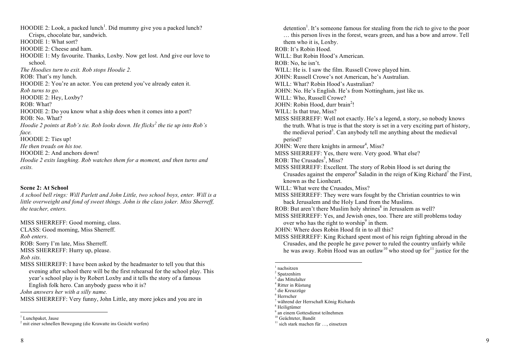$HOODIE 2$ : Look, a packed lunch<sup>1</sup>. Did mummy give you a packed lunch? Crisps, chocolate bar, sandwich. HOODIE 1: What sort? HOODIE 2: Cheese and ham. HOODIE 1: My favourite. Thanks, Loxby. Now get lost. And give our love to school. *The Hoodies turn to exit. Rob stops Hoodie 2.* ROB: That's my lunch. HOODIE 2: You're an actor. You can pretend you've already eaten it. *Rob turns to go.*  HOODIE 2: Hey, Loxby? ROB: What? HOODIE 2: Do you know what a ship does when it comes into a port? ROB: No. What? *Hoodie 2 points at Rob's tie. Rob looks down. He flicks<sup>2</sup> the tie up into Rob's face.* HOODIE 2: Ties up! *He then treads on his toe.*  HOODIE 2: And anchors down! *Hoodie 2 exits laughing. Rob watches them for a moment, and then turns and exits.* 

### **Scene 2: At School**

*A school bell rings: Will Parlett and John Little, two school boys, enter. Will is a little overweight and fond of sweet things. John is the class joker. Miss Sherreff, the teacher, enters.* 

MISS SHERREFF: Good morning, class. CLASS: Good morning, Miss Sherreff. *Rob enters*.

ROB: Sorry I'm late, Miss Sherreff.

MISS SHERREFF: Hurry up, please.

### *Rob sits.*

MISS SHERREFF: I have been asked by the headmaster to tell you that this evening after school there will be the first rehearsal for the school play. This year's school play is by Robert Loxby and it tells the story of a famous English folk hero. Can anybody guess who it is?

*John answers her with a silly name.* 

MISS SHERREFF: Very funny, John Little, any more jokes and you are in

detention<sup>1</sup>. It's someone famous for stealing from the rich to give to the poor … this person lives in the forest, wears green, and has a bow and arrow. Tell them who it is, Loxby. ROB: It's Robin Hood. WILL: But Robin Hood's American. ROB: No, he isn't. WILL: He is. I saw the film. Russell Crowe played him. JOHN: Russell Crowe's not American, he's Australian. WILL: What? Robin Hood's Australian? JOHN: No. He's English. He's from Nottingham, just like us. WILL: Who, Russell Crowe? JOHN: Robin Hood, durr brain<sup>2</sup>! WILL: Is that true, Miss? MISS SHERREFF: Well not exactly. He's a legend, a story, so nobody knows the truth. What is true is that the story is set in a very exciting part of history, the medieval period<sup>3</sup>. Can anybody tell me anything about the medieval period? JOHN: Were there knights in armour<sup>4</sup>, Miss? MISS SHERREFF: Yes, there were. Very good. What else? ROB: The Crusades<sup>5</sup>, Miss? MISS SHERREFF: Excellent. The story of Robin Hood is set during the Crusades against the emperor<sup>6</sup> Saladin in the reign of King Richard<sup>7</sup> the First, known as the Lionheart. WILL: What were the Crusades, Miss? MISS SHERREFF: They were wars fought by the Christian countries to win back Jerusalem and the Holy Land from the Muslims. ROB: But aren't there Muslim holy shrines<sup>8</sup> in Jerusalem as well? MISS SHERREFF: Yes, and Jewish ones, too. There are still problems today over who has the right to worship<sup>9</sup> in them. JOHN: Where does Robin Hood fit in to all this? MISS SHERREFF: King Richard spent most of his reign fighting abroad in the Crusades, and the people he gave power to ruled the country unfairly while he was away. Robin Hood was an outlaw<sup>10</sup> who stood up for<sup>11</sup> justice for the

1 nachsitzen

- <sup>7</sup> während der Herrschaft König Richards
- <sup>8</sup> Heiligtümer
- $9$  an einem Gottesdienst teilnehmen<br><sup>10</sup> Geächteter. Bandit

<sup>&</sup>lt;sup>1</sup> Lunchpaket, Jause

<sup>2</sup> mit einer schnellen Bewegung (die Krawatte ins Gesicht werfen)

<sup>2</sup> Spatzenhirn

<sup>&</sup>lt;sup>3</sup> das Mittelalter

<sup>4</sup> Ritter in Rüstung

<sup>&</sup>lt;sup>5</sup> die Kreuzzüge

<sup>6</sup> Herrscher

 $11$  sich stark machen für  $\dots$ , einsetzen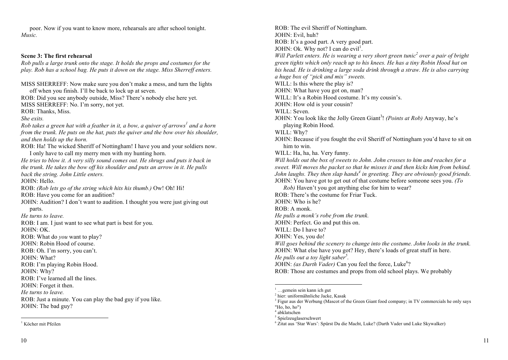poor. Now if you want to know more, rehearsals are after school tonight. *Music.*

### **Scene 3: The first rehearsal**

*Rob pulls a large trunk onto the stage. It holds the props and costumes for the play. Rob has a school bag. He puts it down on the stage. Miss Sherreff enters.* 

MISS SHERREFF: Now make sure you don't make a mess, and turn the lights off when you finish. I'll be back to lock up at seven. ROB: Did you see anybody outside, Miss? There's nobody else here yet. MISS SHERREFF: No. I'm sorry, not yet. ROB: Thanks, Miss. *She exits. Rob takes a green hat with a feather in it, a bow, a quiver of arrows<sup>1</sup> and a horn from the trunk. He puts on the hat, puts the quiver and the bow over his shoulder, and then holds up the horn.*  ROB: Ha! The wicked Sheriff of Nottingham! I have you and your soldiers now. I only have to call my merry men with my hunting horn. *He tries to blow it. A very silly sound comes out. He shrugs and puts it back in the trunk. He takes the bow off his shoulder and puts an arrow in it. He pulls back the string. John Little enters.*  JOHN: Hello. ROB: *(Rob lets go of the string which hits his thumb.)* Ow! Oh! Hi! ROB: Have you come for an audition? JOHN: Audition? I don't want to audition. I thought you were just giving out parts. *He turns to leave.*  ROB: I am. I just want to see what part is best for you. JOHN: OK. ROB: What do *you* want to play? JOHN: Robin Hood of course. ROB: Oh. I'm sorry, you can't. JOHN: What? ROB: I'm playing Robin Hood. JOHN: Why? ROB: I've learned all the lines. JOHN: Forget it then. *He turns to leave.*  ROB: Just a minute. You can play the bad guy if you like. JOHN: The bad guy?

ROB: The evil Sheriff of Nottingham. JOHN: Evil, huh? ROB: It's a good part. A very good part. JOHN: Ok. Why not? I can do evil<sup>1</sup>. *Will Parlett enters. He is wearing a very short green tunic<sup>2</sup> over a pair of bright green tights which only reach up to his knees. He has a tiny Robin Hood hat on his head. He is drinking a large soda drink through a straw. He is also carrying a huge box of "pick and mix" sweets.* WILL: Is this where the play is? JOHN: What have you got on, man? WILL: It's a Robin Hood costume. It's my cousin's. JOHN: How old is your cousin? WILL: Seven. JOHN: You look like the Jolly Green Giant<sup>3</sup>! (Points at Rob) Anyway, he's playing Robin Hood. WILL: Why? JOHN: Because if you fought the evil Sheriff of Nottingham you'd have to sit on him to win. WILL: Ha, ha, ha. Very funny. *Will holds out the box of sweets to John. John crosses to him and reaches for a sweet. Will moves the packet so that he misses it and then kicks him from behind. John laughs. They then slap hands<sup>4</sup> in greeting. They are obviously good friends.*  JOHN: You have got to get out of that costume before someone sees you. *(To Rob)* Haven't you got anything else for him to wear? ROB: There's the costume for Friar Tuck.  $JOHN: Who is he?$ ROB: A monk. *He pulls a monk's robe from the trunk.* JOHN: Perfect. Go and put this on. WILL: Do I have to? JOHN: Yes, you do! *Will goes behind the scenery to change into the costume. John looks in the trunk.* JOHN: What else have you got? Hey, there's loads of great stuff in here. *He pulls out a toy light saber<sup>5</sup> .* JOHN: (as Darth Vader) Can you feel the force, Luke<sup>6</sup>? ROB: Those are costumes and props from old school plays. We probably

 <sup>1</sup> Köcher mit Pfeilen

 <sup>1</sup> …gemein sein kann ich gut

<sup>2</sup> hier: uniformähnliche Jacke, Kasak

<sup>3</sup> Figur aus der Werbung (Mascot of the Green Giant food company; in TV commercials he only says

<sup>&</sup>quot;Ho, ho, ho")  $4$  abklatschen

<sup>5</sup> Spielzeuglaserschwert

<sup>6</sup> Zitat aus 'Star Wars': Spürst Du die Macht, Luke? (Darth Vader und Luke Skywalker)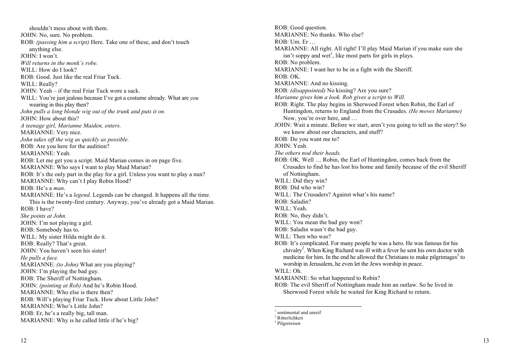shouldn't mess about with them. JOHN: No, sure. No problem. ROB: *(passing him a script)* Here. Take one of these, and don't touch anything else. JOHN: I won't. *Will returns in the monk's robe.*  WILL: How do I look? ROB: Good. Just like the real Friar Tuck. WILL: Really? JOHN: Yeah – if the real Friar Tuck wore a sack. WILL: You're just jealous because I've got a costume already. What are *you* wearing in this play then? *John pulls a long blonde wig out of the trunk and puts it on.*  JOHN: How about this? *A teenage girl, Marianne Maiden, enters.*  MARIANNE: Very nice. *John takes off the wig as quickly as possible.* ROB: Are you here for the audition? MARIANNE: Yeah. ROB: Let me get you a script. Maid Marian comes in on page five. MARIANNE: Who says I want to play Maid Marian? ROB: It's the only part in the play for a girl. Unless you want to play a nun? MARIANNE: Why can't I play Robin Hood? ROB: He's a *man*. MARIANNE: He's a *legend*. Legends can be changed. It happens all the time. This is the twenty-first century. Anyway, you've already got a Maid Marian. ROB: I have? *She points at John.* JOHN: I'm not playing a girl. ROB: Somebody has to. WILL: My sister Hilda might do it. ROB: Really? That's great. JOHN: You haven't seen his sister! *He pulls a face.*  MARIANNE: *(to John)* What are you playing? JOHN: I'm playing the bad guy. ROB: The Sheriff of Nottingham. JOHN: *(pointing at Rob)* And he's Robin Hood. MARIANNE: Who else is there then? ROB: Will's playing Friar Tuck. How about Little John? MARIANNE: Who's Little John? ROB: Er, he's a really big, tall man. MARIANNE: Why is he called little if he's big?

ROB: Good question. MARIANNE: No thanks. Who else?  $ROB: \nIIm.$  Er MARIANNE: All right. All right! I'll play Maid Marian if you make sure she  $\sin$ 't soppy and wet<sup>1</sup>, like most parts for girls in plays. ROB: No problem. MARIANNE: I want her to be in a fight with the Sheriff. ROB: OK. MARIANNE: And no kissing. ROB: *(disappointed)* No kissing? Are you sure? *Marianne gives him a look. Rob gives a script to Will.*  ROB: Right. The play begins in Sherwood Forest when Robin, the Earl of Huntingdon, returns to England from the Crusades. *(He moves Marianne)* Now, you're over here, and … JOHN: Wait a minute. Before we start, aren't you going to tell us the story? So we know about our characters, and stuff? ROB: Do you want me to? JOHN: Yeah. *The others nod their heads.*  ROB: OK. Well … Robin, the Earl of Huntingdon, comes back from the Crusades to find he has lost his home and family because of the evil Sheriff of Nottingham. WILL: Did they win? ROB: Did who win? WILL: The Crusaders? Against what's his name? ROB: Saladin? WILL: Yeah. ROB: No, they didn't. WILL: You mean the bad guy won? ROB: Saladin wasn't the bad guy. WILL: Then who was? ROB: It's complicated. For many people he was a hero. He was famous for his chivalry<sup>2</sup>. When King Richard was ill with a fever he sent his own doctor with medicine for him. In the end he allowed the Christians to make pilgrimages<sup>3</sup> to worship in Jerusalem, he even let the Jews worship in peace. WILL: Oh. MARIANNE: So what happened to Robin? ROB: The evil Sheriff of Nottingham made him an outlaw. So he lived in Sherwood Forest while he waited for King Richard to return.

 $<sup>1</sup>$  sentimental und unreif</sup>

<sup>2</sup> Ritterlichkeit

<sup>3</sup> Pilgerreisen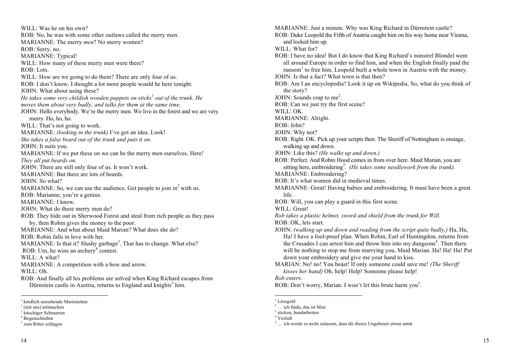WILL: Was he on his own? ROB: No, he was with some other outlaws called the merry men. MARIANNE: The merry *men*? No merry women? ROB: Sorry, no. MARIANNE: Typical! WILL: How many of these merry men were there? ROB: Lots. WILL: How are we going to do them? There are only four of us. ROB: I don't know. I thought a lot more people would be here tonight. JOHN: What about using these? *He takes some very childish wooden puppets on sticks<sup>1</sup> out of the trunk. He moves them about very badly, and talks for them at the same time.*  JOHN: Hello everybody. We're the merry men. We live in the forest and we are very merry. Ho, ho, ho. WILL: That's not going to work. MARIANNE: *(looking in the trunk)* I've got an idea. Look! *She takes a false beard out of the trunk and puts it on.*  JOHN: It suits you. MARIANNE: If we put these on we can be the merry men ourselves. Here! *They all put beards on.*  JOHN: There are still only four of us. It won't work. MARIANNE: But there are lots of beards. JOHN: So what? MARIANNE: So, we can use the audience. Get people to join  $in^2$  with us. ROB: Marianne, you're a genius. MARIANNE: I know. JOHN: What do these merry men do? ROB: They hide out in Sherwood Forest and steal from rich people as they pass by, then Robin gives the money to the poor. MARIANNE: And what about Maid Marian? What does she do? ROB: Robin falls in love with her*.*  MARIANNE: Is that it? Slushy garbage<sup>3</sup>. That has to change. What else? ROB: Um, he wins an archery<sup>4</sup> contest. WILL: A what? MARIANNE: A competition with a bow and arrow. WILL: Oh. ROB: And finally all his problems are solved when King Richard escapes from Dürnstein castle in Austria, returns to England and knights<sup>5</sup> him.

MARIANNE: Just a minute. Why was King Richard in Dürnstein castle? ROB: Duke Leopold the Fifth of Austria caught him on his way home near Vienna, and locked him up. WILL: What for? ROB: I have no idea! But I do know that King Richard's minstrel Blondel went all around Europe in order to find him, and when the English finally paid the  $r$ ansom<sup>1</sup> to free him. Leopold built a whole town in Austria with the money. JOHN: Is that a fact? What town is that then? ROB: Am I an encyclopedia? Look it up on Wikipedia. So, what do you think of the story? JOHN: Sounds crap to me<sup>2</sup>. ROB: Can we just try the first scene? WILL: OK. MARIANNE: Alright. ROB: John? JOHN: Why not? ROB: Right. OK. Pick up your scripts then. The Sheriff of Nottingham is onstage, walking up and down. JOHN: Like this? *(He walks up and down.)* ROB: Perfect. And Robin Hood comes in from over here. Maid Marian, you are sitting here, embroidering<sup>3</sup>. (He takes some needlework from the trunk). MARIANNE: Embroidering? ROB: It's what women did in medieval times. MARIANNE: Great! Having babies and embroidering. It must have been a great life. ROB: Will, you can play a guard in this first scene. WILL: Great! *Rob takes a plastic helmet, sword and shield from the trunk for Will.*  ROB: OK, lets start. JOHN: *(walking up and down and reading from the script quite badly,)* Ha, Ha, Ha! I have a fool-proof plan. When Robin, Earl of Huntingdon, returns from the Crusades I can arrest him and throw him into my dungeons<sup>4</sup>. Then there will be nothing to stop me from marrying you, Maid Marian. Ha! Ha! Ha! Put down your embroidery and give me your hand to kiss. MARIAN: No! no! You beast! If only someone could save me! *(The Sheriff kisses her hand)* Oh, help! Help! Someone please help! *Rob enters.*

ROB: Don't worry, Marian. I won't let this brute harm you<sup>5</sup>.

<sup>&</sup>lt;sup>1</sup> kindlich aussehende Marionetten  $\frac{2}{\pi}$  (mit uns) mitmachen

 $3$  kitschiger Schmarren

<sup>4</sup> Bogenschießen

<sup>5</sup> zum Ritter schlagen

<sup>&</sup>lt;sup>1</sup> Lösegeld

 $2$  ich finde, das ist Mist

 $3 \text{ sticken}$ , handarbeiten  $4$  Verließ

<sup>5</sup> … ich werde es nicht zulassen, dass dir dieses Ungeheuer etwas antut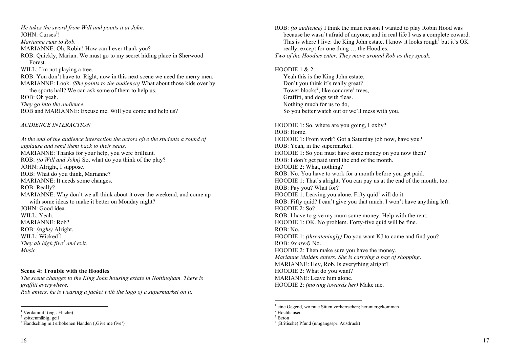*He takes the sword from Will and points it at John.*  JOHN: Curses<sup>1</sup>! *Marianne runs to Rob.* MARIANNE: Oh, Robin! How can I ever thank you? ROB: Quickly, Marian. We must go to my secret hiding place in Sherwood Forest. WILL: I'm not playing a tree. ROB: You don't have to. Right, now in this next scene we need the merry men. MARIANNE: Look. *(She points to the audience)* What about those kids over by the sports hall? We can ask some of them to help us. ROB: Oh yeah. *They go into the audience.*  ROB and MARIANNE: Excuse me. Will you come and help us?

*AUDIENCE INTERACTION* 

*At the end of the audience interaction the actors give the students a round of applause and send them back to their seats.*  MARIANNE: Thanks for your help, you were brilliant. ROB: *(to Will and John)* So, what do you think of the play? JOHN: Alright, I suppose. ROB: What do you think, Marianne? MARIANNE: It needs some changes. ROB: Really? MARIANNE: Why don't we all think about it over the weekend, and come up with some ideas to make it better on Monday night? JOHN: Good idea. WILL: Yeah. MARIANNE: Rob? ROB: *(sighs)* Alright. WILL: Wicked<sup>2</sup>! *They all high five<sup>3</sup> and exit. Music.*

### **Scene 4: Trouble with the Hoodies**

*The scene changes to the King John housing estate in Nottingham. There is graffiti everywhere. Rob enters, he is wearing a jacket with the logo of a supermarket on it.*

16 **16** 

because he wasn't afraid of anyone, and in real life I was a complete coward. This is where I live: the King John estate. I know it looks rough<sup>1</sup> but it's OK really, except for one thing ... the Hoodies. ROB: *(to audience)* I think the main reason I wanted to play Robin Hood was

*Two of the Hoodies enter. They move around Rob as they speak.* 

Yeah this is the King John estate, Don't you think it's really great? Tower blocks<sup>2</sup>, like concrete<sup>3</sup> trees, Graffiti, and dogs with fleas. Nothing much for us to do, So you better watch out or we'll mess with you. HOODIE 1 & 2:

ROB: Home. HOODIE 1: From work? Got a Saturday job now, have you? ROB: Yeah, in the supermarket. HOODIE 1: So you must have some money on you now then? ROB: I don't get paid until the end of the month. HOODIE 2: What, nothing? ROB: No. You have to work for a month before you get paid. HOODIE 1: That's alright. You can pay us at the end of the month, too. ROB: Pay you? What for? HOODIE 1: Leaving you alone. Fifty quid<sup>4</sup> will do it. ROB: Fifty quid? I can't give you that much. I won't have anything left. HOODIE 2: So? ROB: I have to give my mum some money. Help with the rent. HOODIE 1: OK. No problem. Forty-five quid will be fine. ROB: No. HOODIE 1: *(threateningly)* Do you want KJ to come and find you? ROB: *(scared)* No. HOODIE 2: Then make sure you have the money. *Marianne Maiden enters. She is carrying a bag of shopping. MARIANNE: Hey, Rob. Is everything alright?* HOODIE 2: What do you want? MARIANNE: Leave him alone. HOODIE 2: *(moving towards her)* Make me. HOODIE 1: So, where are you going, Loxby?

 <sup>1</sup> Verdammt! (eig.: Flüche)

 $2$  spitzenmäßig, geil

 $3$  Handschlag mit erhobenen Händen (Give me five')

nder die Gegend, wo raue Sitten vorherrschen; heruntergekommen<br><sup>1</sup> eine Gegend, wo raue Sitten vorherrschen; heruntergekommen 1 eine Gegend, word vorherrschen; heruntergekommen; heruntergekommen; herrschen; herrschen; heruntergekommen;

 $2$  Hochhäuser

 $3<sup>3</sup>$  Beton

<sup>&</sup>lt;sup>4</sup> (Britische) Pfund (umgangsspr. Ausdruck)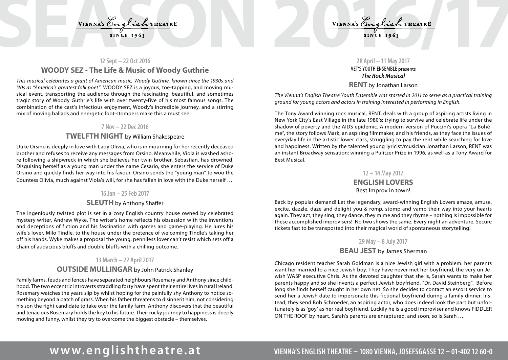# VIENNA'S English THEATRE<br>SINCE 1963<br>12 Sent-22 Oct 2016

## **12 Sept – 22 Oct 2016 WOODY SEZ - The Life & Music of Woody Guthrie**

*This musical celebrates a giant of American music, Woody Guthrie, known since the 1930s and '40s as "America's greatest folk poet".* WOODY SEZ is a joyous, toe-tapping, and moving musical event, transporting the audience through the fascinating, beautiful, and sometimes tragic story of Woody Guthrie's life with over twenty-five of his most famous songs. The combination of the cast's infectious enjoyment, Woody's incredible journey, and a stirring mix of moving ballads and energetic foot-stompers make this a must see.

### **7 Nov – 22 Dec 2016**

### **TWELFTH NIGHT** by William Shakespeare

Duke Orsino is deeply in love with Lady Olivia, who is in mourning for her recently deceased brother and refuses to receive any messages from Orsino. Meanwhile, Viola is washed ashore following a shipwreck in which she believes her twin brother, Sebastian, has drowned. Disguising herself as a young man under the name Cesario, she enters the service of Duke Orsino and quickly finds her way into his favour. Orsino sends the "young man" to woo the Countess Olivia, much against Viola's will, for she has fallen in love with the Duke herself ….

### **16 Jan – 25 Feb 2017**

### **SLEUTH** by Anthony Shaffer

The ingeniously twisted plot is set in a cosy English country house owned by celebrated mystery writer, Andrew Wyke. The writer's home reflects his obsession with the inventions and deceptions of fiction and his fascination with games and game-playing. He lures his wife's lover, Milo Tindle, to the house under the pretence of welcoming Tindle's taking her off his hands. Wyke makes a proposal the young, penniless lover can't resist which sets off a chain of audacious bluffs and double bluffs with a chilling outcome.

### **13 March – 22 April 2017**

### **OUTSIDE MULLINGAR** by John Patrick Shanley

Family farms, feuds and fences have separated neighbours Rosemary and Anthony since childhood. The two eccentric introverts straddling forty have spent their entire lives in rural Ireland. Rosemary watches the years slip by whilst hoping for the painfully shy Anthony to notice something beyond a patch of grass. When his father threatens to disinherit him, not considering his son the right candidate to take over the family farm, Anthony discovers that the beautiful and tenacious Rosemary holds the key to his future. Their rocky journey to happiness is deeply moving and funny, whilst they try to overcome the biggest obstacle – themselves.

### **28 April – 11 May 2017** VET'S YOUTH ENSEMBLE presents *The Rock Musical* **RENT** by Jonathan Larson

*The Vienna's English Theatre Youth Ensemble was started in 2011 to serve as a practical training ground for young actors and actors in training interested in performing in English.* 

The Tony Award winning rock musical, RENT, deals with a group of aspiring artists living in New York City's East Village in the late 1980's; trying to survive and celebrate life under the shadow of poverty and the AIDS epidemic. A modern version of Puccini's opera "La Bohème", the story follows Mark, an aspiring filmmaker, and his friends, as they face the issues of everyday life in the artistic lower class, struggling to pay the rent while searching for love and happiness. Written by the talented young lyricist/musician Jonathan Larson, RENT was an instant Broadway sensation; winning a Pulitzer Prize in 1996, as well as a Tony Award for Best Musical.

### **12 – 14 May 2017**

### **ENGLISH LOVERS**  Best Improv in town!

Back by popular demand! Let the legendary, award-winning English Lovers amaze, amuse, excite, dazzle, daze and delight you & romp, stomp and vamp their way into your hearts again. They act, they sing, they dance, they mime and they rhyme – nothing is impossible for these accomplished improvisers! No two shows the same. Every night an adventure. Secure tickets fast to be transported into their magical world of spontaneous storytelling!

### **29 May – 8 July 2017**

## **BEAU JEST** by James Sherman

Chicago resident teacher Sarah Goldman is a nice Jewish girl with a problem: her parents want her married to a nice Jewish boy. They have never met her boyfriend, the very un-Jewish WASP executive Chris. As the devoted daughter that she is, Sarah wants to make her parents happy and so she invents a perfect Jewish boyfriend, "Dr. David Steinberg". Before long she finds herself caught in her own net. So she decides to contact an escort service to send her a Jewish date to impersonate this fictional boyfriend during a family dinner. Instead, they send Bob Schroeder, an aspiring actor, who does indeed look the part but unfortunately is as 'goy' as her real boyfriend. Luckily he is a good improviser and knows FIDDLER ON THE ROOF by heart. Sarah's parents are enraptured, and soon, so is Sarah …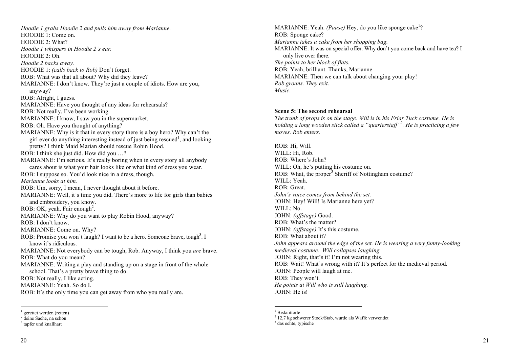*Hoodie 1 grabs Hoodie 2 and pulls him away from Marianne.* HOODIE 1: Come on. HOODIE 2: What? *Hoodie 1 whispers in Hoodie 2's ear.*  HOODIE 2: Oh. *Hoodie 2 backs away.*  HOODIE 1: *(calls back to Rob)* Don't forget. ROB: What was that all about? Why did they leave? MARIANNE: I don't know. They're just a couple of idiots. How are you, anyway? ROB: Alright, I guess. MARIANNE: Have you thought of any ideas for rehearsals? ROB: Not really. I've been working. MARIANNE: I know, I saw you in the supermarket. ROB: Oh. Have you thought of anything? MARIANNE: Why is it that in every story there is a boy hero? Why can't the girl ever do anything interesting instead of just being rescued<sup>1</sup>, and looking pretty? I think Maid Marian should rescue Robin Hood. ROB: I think she just did. How did you …? MARIANNE: I'm serious. It's really boring when in every story all anybody cares about is what your hair looks like or what kind of dress you wear. ROB: I suppose so. You'd look nice in a dress, though. *Marianne looks at him.* ROB: Um, sorry, I mean, I never thought about it before. MARIANNE: Well, it's time you did. There's more to life for girls than babies and embroidery, you know. ROB: OK, yeah. Fair enough<sup>2</sup>. MARIANNE: Why do you want to play Robin Hood, anyway? ROB: I don't know. MARIANNE: Come on. Why? ROB: Promise you won't laugh? I want to be a hero. Someone brave, tough<sup>3</sup>. I know it's ridiculous. MARIANNE: Not everybody can be tough, Rob. Anyway, I think you *are* brave. ROB: What do you mean? MARIANNE: Writing a play and standing up on a stage in front of the whole school. That's a pretty brave thing to do. ROB: Not really. I like acting. MARIANNE: Yeah. So do I. ROB: It's the only time you can get away from who you really are.

MARIANNE: Yeah. *(Pause)* Hey, do you like sponge cake<sup>1</sup>? ROB: Sponge cake? *Marianne takes a cake from her shopping bag.*  MARIANNE: It was on special offer. Why don't you come back and have tea? I only live over there. *She points to her block of flats.* ROB: Yeah, brilliant. Thanks, Marianne. MARIANNE: Then we can talk about changing your play! *Rob groans. They exit. Music.*

### **Scene 5: The second rehearsal**

*The trunk of props is on the stage. Will is in his Friar Tuck costume. He is holding a long wooden stick called a "quarterstaff"<sup>2</sup> . He is practicing a few moves. Rob enters.* 

ROB: Hi, Will. WILL: Hi, Rob. ROB: Where's John? WILL: Oh, he's putting his costume on. ROB: What, the proper<sup>3</sup> Sheriff of Nottingham costume? WILL: Yeah. ROB: Great. *John's voice comes from behind the set.*  JOHN: Hey! Will! Is Marianne here yet? WILL: No. JOHN: *(offstage)* Good. ROB: What's the matter? JOHN: *(offstage)* It's this costume. ROB: What about it? *John appears around the edge of the set. He is wearing a very funny-looking medieval costume. Will collapses laughing.*  JOHN: Right, that's it! I'm not wearing this. ROB: Wait! What's wrong with it? It's perfect for the medieval period. JOHN: People will laugh at me. ROB: They won't. *He points at Will who is still laughing.*  JOHN: He is!

<sup>&</sup>lt;sup>1</sup> gerettet werden (retten)<br><sup>2</sup> deine Sache, na schön

<sup>&</sup>lt;sup>3</sup> tapfer und knallhart

<sup>&</sup>lt;sup>1</sup> Biskuittorte

<sup>2</sup> 12,7 kg schwerer Stock/Stab, wurde als Waffe verwendet

<sup>&</sup>lt;sup>3</sup> das echte, typische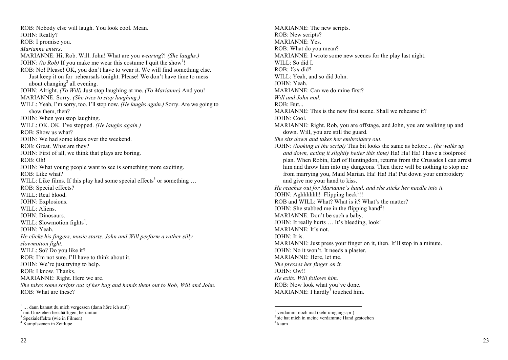ROB: Nobody else will laugh. You look cool. Mean. JOHN: Really? ROB: I promise you. *Marianne enters*. MARIANNE: Hi, Rob. Will. John! What are you *wearing*?! *(She laughs.)* JOHN: *(to Rob)* If you make me wear this costume I quit the show<sup>1</sup>! ROB: No! Please! OK, you don't have to wear it. We will find something else. Just keep it on for rehearsals tonight. Please! We don't have time to mess about changing<sup>2</sup> all evening. JOHN: Alright. *(To Will)* Just stop laughing at me. *(To Marianne)* And you! MARIANNE: Sorry. *(She tries to stop laughing.)* WILL: Yeah, I'm sorry, too. I'll stop now. *(He laughs again.)* Sorry. Are we going to show them, then? JOHN: When you stop laughing. WILL: OK. OK. I've stopped. *(He laughs again.)* ROB: Show us what? JOHN: We had some ideas over the weekend. ROB: Great. What are they? JOHN: First of all, we think that plays are boring. ROB: Oh! JOHN: What young people want to see is something more exciting. ROB: Like what? WILL: Like films. If this play had some special effects<sup>3</sup> or something  $\dots$ ROB: Special effects? WILL: Real blood. JOHN: Explosions. WILL: Aliens. JOHN: Dinosaurs. WILL: Slowmotion fights<sup>4</sup>. JOHN: Yeah. *He clicks his fingers, music starts. John and Will perform a rather silly slowmotion fight.*  WILL: So? Do you like it? ROB: I'm not sure. I'll have to think about it. JOHN: We're just trying to help. ROB: I know. Thanks. MARIANNE: Right. Here we are. *She takes some scripts out of her bag and hands them out to Rob, Will and John.*  ROB: What are these?

MARIANNE: The new scripts. ROB: New scripts? MARIANNE: Yes. ROB: What do you mean? MARIANNE: I wrote some new scenes for the play last night. WILL: So did I. ROB: *You* did? WILL: Yeah, and so did John. JOHN: Yeah. MARIANNE: Can we do mine first? *Will and John nod.*   $ROB: B$ ut... MARIANNE: This is the new first scene. Shall we rehearse it? JOHN: Cool. MARIANNE: Right. Rob, you are offstage, and John, you are walking up and down. Will, you are still the guard. *She sits down and takes her embroidery out.*  JOHN: *(looking at the script)* This bit looks the same as before*… (he walks up and down, acting it slightly better this time)* Ha! Ha! Ha! I have a foolproof plan. When Robin, Earl of Huntingdon, returns from the Crusades I can arrest him and throw him into my dungeons. Then there will be nothing to stop me from marrying you, Maid Marian. Ha! Ha! Ha! Put down your embroidery and give me your hand to kiss. *He reaches out for Marianne's hand, and she sticks her needle into it.* JOHN: Aghhhhhh! Flipping heck<sup>1</sup>!! ROB and WILL: What? What is it? What's the matter? JOHN: She stabbed me in the flipping hand<sup>2</sup>! MARIANNE: Don't be such a baby. JOHN: It really hurts … It's bleeding, look! MARIANNE: It's not. JOHN: It is. MARIANNE: Just press your finger on it, then. It'll stop in a minute. JOHN: No it won't. It needs a plaster. MARIANNE: Here, let me. *She presses her finger on it.*  JOHN: Ow!! *He exits. Will follows him.*  ROB: Now look what you've done. MARIANNE: I hardly<sup>3</sup> touched him.

 $\frac{1}{1}$  ... dann kannst du mich vergessen (dann höre ich auf!)

<sup>2</sup> mit Umziehen beschäftigen, herumtun

<sup>3</sup> Spezialeffekte (wie in Filmen)

<sup>4</sup> Kampfszenen in Zeitlupe

 $<sup>1</sup>$  verdammt noch mal (sehr umgangsspr.)</sup>

<sup>2</sup> sie hat mich in meine verdammte Hand gestochen <sup>3</sup> kaum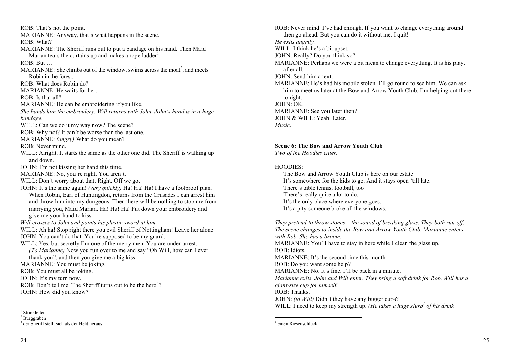ROB: That's not the point. MARIANNE: Anyway, that's what happens in the scene. ROB: What? MARIANNE: The Sheriff runs out to put a bandage on his hand. Then Maid Marian tears the curtains up and makes a rope ladder $^1$ . ROB: But … MARIANNE: She climbs out of the window, swims across the moat<sup>2</sup>, and meets Robin in the forest. ROB: What does Robin do? MARIANNE: He waits for her. ROB: Is that all? MARIANNE: He can be embroidering if you like. *She hands him the embroidery. Will returns with John. John's hand is in a huge bandage.*  WILL: Can we do it my way now? The scene? ROB: Why not? It can't be worse than the last one. MARIANNE: *(angry)* What do you mean? ROB: Never mind. WILL: Alright. It starts the same as the other one did. The Sheriff is walking up and down. JOHN: I'm not kissing her hand this time. MARIANNE: No, you're right. You aren't. WILL: Don't worry about that. Right. Off we go. JOHN: It's the same again! *(very quickly)* Ha! Ha! Ha! I have a foolproof plan. When Robin, Earl of Huntingdon, returns from the Crusades I can arrest him and throw him into my dungeons. Then there will be nothing to stop me from marrying you, Maid Marian. Ha! Ha! Ha! Put down your embroidery and give me your hand to kiss. *Will crosses to John and points his plastic sword at him.*  WILL: Ah ha! Stop right there you evil Sheriff of Nottingham! Leave her alone. JOHN: You can't do that. You're supposed to be my guard. WILL: Yes, but secretly I'm one of the merry men. You are under arrest. *(To Marianne)* Now you run over to me and say "Oh Will, how can I ever thank you", and then you give me a big kiss. MARIANNE: You must be joking. ROB: You must all be joking. JOHN: It's my turn now. ROB: Don't tell me. The Sheriff turns out to be the hero<sup>3</sup>? JOHN: How did you know?

ROB: Never mind. I've had enough. If you want to change everything around then go ahead. But you can do it without me. I quit! *He exits angrily.*  WILL: I think he's a bit upset. JOHN: Really? Do you think so? MARIANNE: Perhaps we were a bit mean to change everything. It is his play, after all. JOHN: Send him a text. MARIANNE: He's had his mobile stolen. I'll go round to see him. We can ask him to meet us later at the Bow and Arrow Youth Club. I'm helping out there tonight. JOHN: OK. MARIANNE: See you later then? JOHN & WILL: Yeah. Later.

*Music*.

**Scene 6: The Bow and Arrow Youth Club** 

*Two of the Hoodies enter.* 

### HOODIES:

The Bow and Arrow Youth Club is here on our estate It's somewhere for the kids to go. And it stays open 'till late. There's table tennis, football, too There's really quite a lot to do. It's the only place where everyone goes. It's a pity someone broke all the windows.

*They pretend to throw stones – the sound of breaking glass*. *They both run off*. *The scene changes to inside the Bow and Arrow Youth Club. Marianne enters with Rob. She has a broom.* MARIANNE: You'll have to stay in here while I clean the glass up. ROB: Idiots. MARIANNE: It's the second time this month. ROB: Do you want some help? MARIANNE: No. It's fine. I'll be back in a minute. *Marianne exits. John and Will enter. They bring a soft drink for Rob. Will has a giant-size cup for himself.*  ROB: Thanks. JOHN: *(to Will)* Didn't they have any bigger cups? WILL: I need to keep my strength up. *(He takes a huge slurp<sup>1</sup> of his drink*)

<sup>&</sup>lt;sup>1</sup> Strickleiter

<sup>2</sup> Burggraben

<sup>3</sup> der Sheriff stellt sich als der Held heraus

 <sup>1</sup> einen Riesenschluck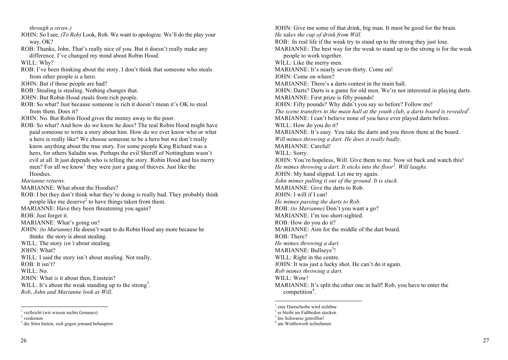*through a straw.)* JOHN: So I see. *(To Rob)* Look, Rob. We want to apologize. We'll do the play your way, OK? ROB: Thanks, John. That's really nice of you. But it doesn't really make any difference. I've changed my mind about Robin Hood. WILL: Why? ROB: I've been thinking about the story. I don't think that someone who steals from other people is a hero. JOHN: But if those people are bad? ROB: Stealing is stealing. Nothing changes that. JOHN: But Robin Hood steals from rich people. ROB: So what? Just because someone is rich it doesn't mean it's OK to steal from them. Does it? JOHN: No. But Robin Hood gives the money away to the poor. ROB: So what? And how do we know he does? The real Robin Hood might have paid someone to write a story about him. How do we ever know who or what a hero is really like? We choose someone to be a hero but we don't really know anything about the true story. For some people King Richard was a hero, for others Saladin was. Perhaps the evil Sheriff of Nottingham wasn't evil at all. It just depends who is telling the story. Robin Hood and his merry men? For all we know<sup>1</sup> they were just a gang of thieves. Just like the **Hoodies** *Marianne returns.*  MARIANNE: What about the Hoodies? ROB: I bet they don't think what they're doing is really bad. They probably think people like me deserve<sup>2</sup> to have things taken from them. MARIANNE: Have they been threatening you again? ROB: Just forget it. MARIANNE: What's going on? JOHN: *(to Marianne)* He doesn't want to do Robin Hood any more because he thinks the story is about stealing. WILL: The story *isn't* about stealing. JOHN: What? WILL: I said the story isn't about stealing. Not really. ROB: It isn't? WILL: No. JOHN: What *is* it about then, Einstein? WILL: It's about the weak standing up to the strong<sup>3</sup>. *Rob, John and Marianne look at Will.*

JOHN: Give me some of that drink, big man. It must be good for the brain. *He takes the cup of drink from Will.*  ROB: In real life if the weak try to stand up to the strong they just lose. MARIANNE: The best way for the weak to stand up to the strong is for the weak people to work together. WILL: Like the merry men. MARIANNE: It's nearly seven-thirty. Come on! JOHN: Come on where? MARIANNE: There's a darts contest in the main hall. JOHN: Darts? Darts is a game for old men. We're not interested in playing darts. MARIANNE: First prize is fifty pounds! JOHN: Fifty pounds? Why didn't you say so before? Follow me! *The scene transfers to the main hall at the youth club, a darts board is revealed<sup>1</sup> .*  MARIANNE: I can't believe none of you have ever played darts before. WILL: How do you do it? MARIANNE: It's easy. You take the darts and you throw them at the board. *Will mimes throwing a dart. He does it really badly*. MARIANNE: Careful! WILL: Sorry. JOHN: You're hopeless, Will. Give them to me. Now sit back and watch this! *He mimes throwing a dart. It sticks into the floor<sup>2</sup> . Will laughs.*  JOHN: My hand slipped. Let me try again. *John mimes pulling it out of the ground. It is stuck.*  MARIANNE: Give the darts to Rob. JOHN: I will if I can! *He mimes passing the darts to Rob.*  ROB: *(to Marianne)* Don't you want a go? MARIANNE: I'm too short-sighted. ROB: How do you do it? MARIANNE: Aim for the middle of the dart board. ROB: There? *He mimes throwing a dart.*  MARIANNE: Bullseye<sup>3</sup>! WILL: Right in the centre. JOHN: It was just a lucky shot. He can't do it again. *Rob mimes throwing a dart.*  WILL: Wow! MARIANNE: It's split the other one in half! Rob, you have to enter the competition<sup>4</sup>.

 <sup>1</sup> vielleicht (wir wissen nichts Genaues)

<sup>&</sup>lt;sup>2</sup> verdienen

<sup>3</sup> die Stirn bieten, sich gegen jemand behaupten

<sup>&</sup>lt;sup>1</sup> eine Dartscheibe wird sichtbar

<sup>2</sup> er bleibt im Fußboden stecken

<sup>&</sup>lt;sup>3</sup> Ins Schwarze getroffen!

<sup>4</sup> am Wettbewerb teilnehmen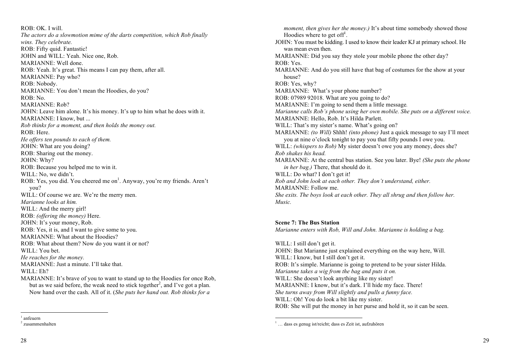$ROB: OK$  I will. *The actors do a slowmotion mime of the darts competition, which Rob finally wins. They celebrate.*  ROB: Fifty quid. Fantastic! JOHN and WILL: Yeah. Nice one, Rob. MARIANNE: Well done. ROB: Yeah. It's great. This means I can pay them, after all. MARIANNE: Pay who? ROB: Nobody. MARIANNE: You don't mean the Hoodies, do you? ROB: No. MARIANNE: Rob? JOHN: Leave him alone. It's his money. It's up to him what he does with it. MARIANNE: I know, but ... *Rob thinks for a moment, and then holds the money out.*  ROB: Here. *He offers ten pounds to each of them.*  JOHN: What are you doing? ROB: Sharing out the money. JOHN: Why? ROB: Because you helped me to win it. WILL: No, we didn't. ROB: Yes, you did. You cheered me on<sup>1</sup>. Anyway, you're my friends. Aren't you? WILL: Of course we are. We're the merry men. *Marianne looks at him.*  WILL: And the merry girl! ROB: *(offering the money)* Here. JOHN: It's your money, Rob. ROB: Yes, it is, and I want to give some to you. MARIANNE: What about the Hoodies? ROB: What about them? Now do you want it or not? WILL: You bet. *He reaches for the money.*  MARIANNE: Just a minute. I'll take that. WILL: Eh? MARIANNE: It's brave of you to want to stand up to the Hoodies for once Rob, but as we said before, the weak need to stick together<sup>2</sup>, and I've got a plan.

Now hand over the cash. All of it. (*She puts her hand out. Rob thinks for a* 

*moment, then gives her the money.*) It's about time somebody showed those Hoodies where to get off<sup> $l$ </sup>. JOHN: You must be kidding. I used to know their leader KJ at primary school. He was mean even then. MARIANNE: Did you say they stole your mobile phone the other day? ROB: Yes. MARIANNE: And do you still have that bag of costumes for the show at your house? ROB: Yes, why? MARIANNE: What's your phone number? ROB: 07989 92018. What are you going to do? MARIANNE: I'm going to send them a little message*. Marianne calls Rob's phone using her own mobile. She puts on a different voice.*  MARIANNE: Hello, Rob. It's Hilda Parlett. WILL: That's my sister's name. What's going on? MARIANNE: *(to Will)* Shhh! *(into phone)* Just a quick message to say I'll meet you at nine o'clock tonight to pay you that fifty pounds I owe you. WILL: *(whispers to Rob)* My sister doesn't owe you any money, does she? *Rob shakes his head.*  MARIANNE: At the central bus station. See you later. Bye! *(She puts the phone in her bag.)* There, that should do it. WILL: Do what? I don't get it! *Rob and John look at each other. They don't understand, either.*  MARIANNE: Follow me. *She exits. The boys look at each other. They all shrug and then follow her. Music.*

### **Scene 7: The Bus Station**

*Marianne enters with Rob, Will and John. Marianne is holding a bag.* 

WILL: I still don't get it. JOHN: But Marianne just explained everything on the way here, Will. WILL: I know, but I still don't get it. ROB: It's simple. Marianne is going to pretend to be your sister Hilda. *Marianne takes a wig from the bag and puts it on.*  WILL: She doesn't look anything like my sister! MARIANNE: I know, but it's dark. I'll hide my face. There! *She turns away from Will slightly and pulls a funny face.* WILL: Oh! You do look a bit like my sister. ROB: She will put the money in her purse and hold it, so it can be seen.

 $<sup>1</sup>$  anfeuern</sup>

<sup>2</sup> zusammenhalten

 <sup>1</sup> … dass es genug ist/reicht; dass es Zeit ist, aufzuhören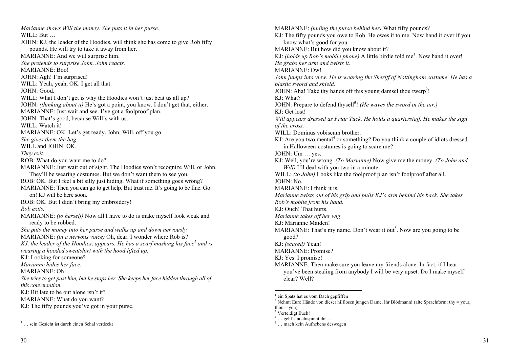*Marianne shows Will the money. She puts it in her purse.* WILL: But ... JOHN: KJ, the leader of the Hoodies, will think she has come to give Rob fifty pounds. He will try to take it away from her. MARIANNE: And we will surprise him. *She pretends to surprise John. John reacts.*  MARIANNE: Boo! JOHN: Agh! I'm surprised! WILL: Yeah, yeah, OK. I get all that. JOHN: Good. WILL: What I don't get is why the Hoodies won't just beat us all up? JOHN: *(thinking about it)* He's got a point, you know. I don't get that, either. MARIANNE: Just wait and see. I've got a foolproof plan. JOHN: That's good, because Will's with us. WILL: Watch it! MARIANNE: OK. Let's get ready. John, Will, off you go. *She gives them the bag.*  WILL and JOHN: OK. *They exit.*  ROB: What do you want me to do? MARIANNE: Just wait out of sight. The Hoodies won't recognize Will, or John. They'll be wearing costumes. But we don't want them to see you. ROB: OK. But I feel a bit silly just hiding. What if something goes wrong? MARIANNE: Then you can go to get help. But trust me. It's going to be fine. Go on! KJ will be here soon. ROB: OK. But I didn't bring my embroidery! *Rob exits.*  MARIANNE: *(to herself)* Now all I have to do is make myself look weak and ready to be robbed. *She puts the money into her purse and walks up and down nervously.*  MARIANNE: *(in a nervous voice)* Oh, dear. I wonder where Rob is? *KJ, the leader of the Hoodies, appears. He has a scarf masking his face<sup>1</sup> and is wearing a hooded sweatshirt with the hood lifted up.*  KJ: Looking for someone? *Marianne hides her face.*  MARIANNE: Oh! *She tries to get past him, but he stops her. She keeps her face hidden through all of this conversation.*  KJ: Bit late to be out alone isn't it? MARIANNE: What do you want? KJ: The fifty pounds you've got in your purse.

MARIANNE: *(hiding the purse behind her)* What fifty pounds? KJ: The fifty pounds you owe to Rob. He owes it to me. Now hand it over if you know what's good for you. MARIANNE: But how did you know about it? KJ: *(holds up Rob's mobile phone)* A little birdie told me<sup>1</sup>. Now hand it over! *He grabs her arm and twists it.* MARIANNE: Ow! *John jumps into view. He is wearing the Sheriff of Nottingham costume. He has a plastic sword and shield.*  JOHN: Aha! Take thy hands off this young damsel thou twerp<sup>2</sup>! KJ: What? JOHN: Prepare to defend thyself<sup>3</sup>! (He waves the sword in the air.) KJ: Get lost! *Will appears dressed as Friar Tuck. He holds a quarterstaff. He makes the sign of the cross.*  WILL: Dominus vobiscum brother. KJ: Are you two mental<sup>4</sup> or something? Do you think a couple of idiots dressed in Halloween costumes is going to scare me? JOHN: Um … yes. KJ: Well, you're wrong. *(To Marianne)* Now give me the money. *(To John and Will*) I'll deal with you two in a minute. WILL: *(to John)* Looks like the foolproof plan isn't foolproof after all.  $IOHN·No$ MARIANNE: I think it is. *Marianne twists out of his grip and pulls KJ's arm behind his back. She takes Rob's mobile from his hand.* KJ: Ouch! That hurts. *Marianne takes off her wig.* KJ: Marianne Maiden! MARIANNE: That's my name. Don't wear it out<sup>5</sup>. Now are you going to be good? KJ: *(scared)* Yeah! MARIANNE: Promise? KJ: Yes. I promise! MARIANNE: Then make sure you leave my friends alone. In fact, if I hear you've been stealing from anybody I will be very upset. Do I make myself clear? Well?

<sup>&</sup>lt;sup>1</sup> ... sein Gesicht ist durch einen Schal verdeckt

 $<sup>1</sup>$  ein Spatz hat es vom Dach gepfiffen</sup>

<sup>&</sup>lt;sup>2</sup> Nehmt Eure Hände von dieser hilflosen jungen Dame, Ihr Blödmann! (alte Sprachform: thy = your,  $thou = vou$ 

<sup>&</sup>lt;sup>3</sup> Verteidigt Euch!

<sup>&</sup>lt;sup>4</sup> … geht's noch/spinnt ihr …<br><sup>5</sup> … mach kein Aufhebens deswegen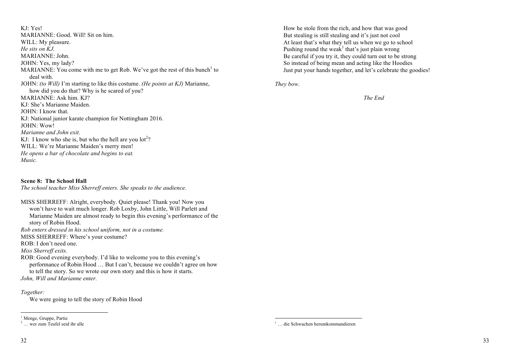KJ: Yes! MARIANNE: Good. Will! Sit on him. WILL: My pleasure. *He sits on KJ.* MARIANNE: John. JOHN: Yes, my lady? MARIANNE: You come with me to get Rob. We've got the rest of this bunch<sup>1</sup> to deal with. JOHN: *(to Will)* I'm starting to like this costume. *(He points at KJ)* Marianne, how did you do that? Why is he scared of you? MARIANNE: Ask him. KJ? KJ: She's Marianne Maiden. JOHN: I know that. KJ: National junior karate champion for Nottingham 2016. JOHN: Wow! *Marianne and John exit.*  KJ: I know who she is, but who the hell are you  $10t^2$ ? WILL: We're Marianne Maiden's merry men! *He opens a bar of chocolate and begins to eat. Music.* 

**Scene 8: The School Hall** *The school teacher Miss Sherreff enters. She speaks to the audience.*

MISS SHERREFF: Alright, everybody. Quiet please! Thank you! Now you won't have to wait much longer. Rob Loxby, John Little, Will Parlett and Marianne Maiden are almost ready to begin this evening's performance of the story of Robin Hood. *Rob enters dressed in his school uniform, not in a costume.*  MISS SHERREFF: Where's your costume? ROB: I don't need one. *Miss Sherreff exits.*  ROB: Good evening everybody. I'd like to welcome you to this evening's performance of Robin Hood … But I can't, because we couldn't agree on how to tell the story. So we wrote our own story and this is how it starts.

*John, Will and Marianne enter.* 

### *Together:*

We were going to tell the story of Robin Hood

How he stole from the rich, and how that was good But stealing is still stealing and it's just not cool At least that's what they tell us when we go to school Pushing round the weak<sup>1</sup> that's just plain wrong Be careful if you try it, they could turn out to be strong So instead of being mean and acting like the Hoodies Just put your hands together, and let's celebrate the goodies!

*They bow.* 

*The End*

<sup>&</sup>lt;sup>1</sup> Menge, Gruppe, Partie

 $2 \ldots$  wer zum Teufel seid ihr alle

 <sup>1</sup> … die Schwachen herumkommandieren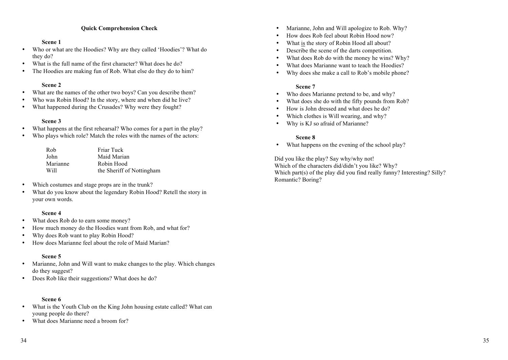### **Quick Comprehension Check**

### **Scene 1**

- Who or what are the Hoodies? Why are they called 'Hoodies'? What do they do?
- What is the full name of the first character? What does he do?
- The Hoodies are making fun of Rob. What else do they do to him?

### **Scene 2**

- What are the names of the other two boys? Can you describe them?
- Who was Robin Hood? In the story, where and when did he live?
- What happened during the Crusades? Why were they fought?

### **Scene 3**

- What happens at the first rehearsal? Who comes for a part in the play?
- Who plays which role? Match the roles with the names of the actors:

| Rob      | Friar Tuck                |
|----------|---------------------------|
| John     | Maid Marian               |
| Marianne | Robin Hood                |
| Will     | the Sheriff of Nottingham |

- Which costumes and stage props are in the trunk?
- What do you know about the legendary Robin Hood? Retell the story in your own words.

### **Scene 4**

- What does Rob do to earn some money?
- How much money do the Hoodies want from Rob, and what for?
- Why does Rob want to play Robin Hood?
- How does Marianne feel about the role of Maid Marian?

### **Scene 5**

- Marianne, John and Will want to make changes to the play. Which changes do they suggest?
- Does Rob like their suggestions? What does he do?

### **Scene 6**

- What is the Youth Club on the King John housing estate called? What can young people do there?
- What does Marianne need a broom for?
- Marianne, John and Will apologize to Rob. Why?
- How does Rob feel about Robin Hood now?
- What is the story of Robin Hood all about?
- Describe the scene of the darts competition.
- What does Rob do with the money he wins? Why?
- What does Marianne want to teach the Hoodies?
- Why does she make a call to Rob's mobile phone?

### **Scene 7**

- Who does Marianne pretend to be, and why?
- What does she do with the fifty pounds from Rob?
- How is John dressed and what does he do?
- Which clothes is Will wearing, and why?
- Why is KJ so afraid of Marianne?

### **Scene 8**

• What happens on the evening of the school play?

Did you like the play? Say why/why not! Which of the characters did/didn't you like? Why? Which part(s) of the play did you find really funny? Interesting? Silly? Romantic? Boring?